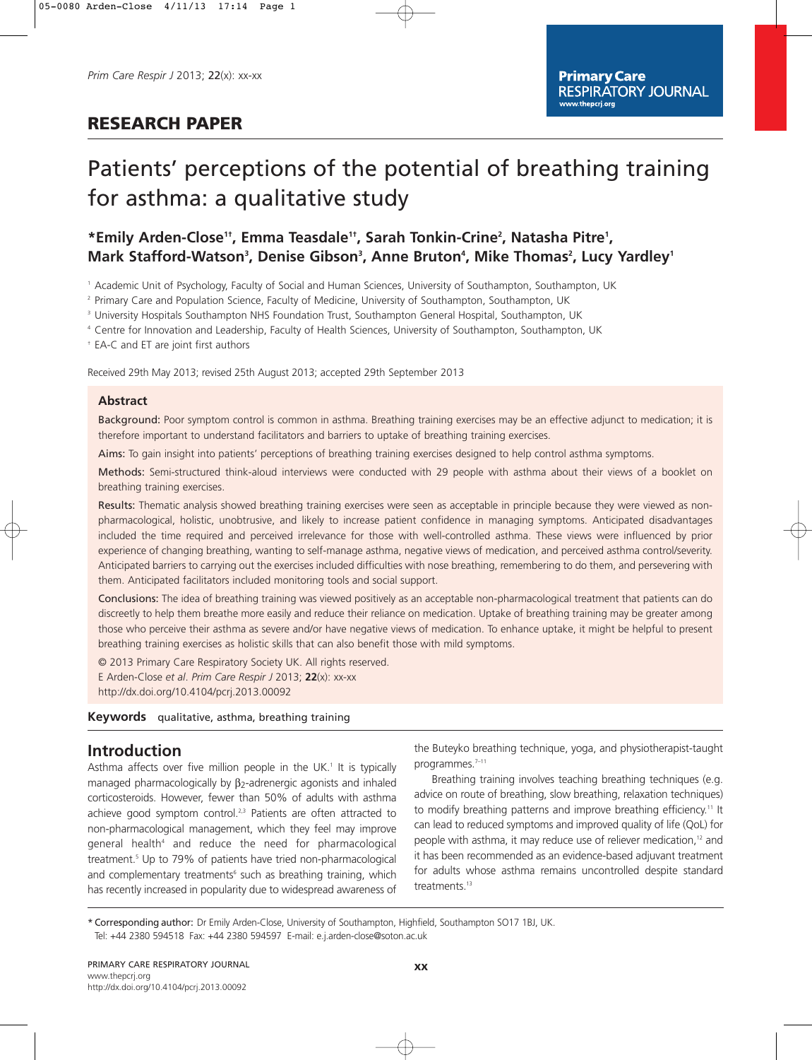# **RESEARCH PAPER**

# Patients' perceptions of the potential of breathing training for asthma: a qualitative study

# \*Emily Arden-Close<sup>1†</sup>, Emma Teasdale<sup>1†</sup>, Sarah Tonkin-Crine<sup>2</sup>, Natasha Pitre<sup>1</sup>, Mark Stafford-Watson<sup>3</sup>, Denise Gibson<sup>3</sup>, Anne Bruton<sup>4</sup>, Mike Thomas<sup>2</sup>, Lucy Yardley<sup>1</sup>

<sup>1</sup> Academic Unit of Psychology, Faculty of Social and Human Sciences, University of Southampton, Southampton, UK

<sup>2</sup> Primary Care and Population Science, Faculty of Medicine, University of Southampton, Southampton, UK

<sup>3</sup> University Hospitals Southampton NHS Foundation Trust, Southampton General Hospital, Southampton, UK

<sup>4</sup> Centre for Innovation and Leadership, Faculty of Health Sciences, University of Southampton, Southampton, UK

† EA-C and ET are joint first authors

Received 29th May 2013; revised 25th August 2013; accepted 29th September 2013

#### **Abstract**

Background: Poor symptom control is common in asthma. Breathing training exercises may be an effective adjunct to medication; it is therefore important to understand facilitators and barriers to uptake of breathing training exercises.

Aims: To gain insight into patients' perceptions of breathing training exercises designed to help control asthma symptoms.

Methods: Semi-structured think-aloud interviews were conducted with 29 people with asthma about their views of a booklet on breathing training exercises.

Results: Thematic analysis showed breathing training exercises were seen as acceptable in principle because they were viewed as nonpharmacological, holistic, unobtrusive, and likely to increase patient confidence in managing symptoms. Anticipated disadvantages included the time required and perceived irrelevance for those with well-controlled asthma. These views were influenced by prior experience of changing breathing, wanting to self-manage asthma, negative views of medication, and perceived asthma control/severity. Anticipated barriers to carrying out the exercises included difficulties with nose breathing, remembering to do them, and persevering with them. Anticipated facilitators included monitoring tools and social support.

Conclusions: The idea of breathing training was viewed positively as an acceptable non-pharmacological treatment that patients can do discreetly to help them breathe more easily and reduce their reliance on medication. Uptake of breathing training may be greater among those who perceive their asthma as severe and/or have negative views of medication. To enhance uptake, it might be helpful to present breathing training exercises as holistic skills that can also benefit those with mild symptoms.

© 2013 Primary Care Respiratory Society UK. All rights reserved. E Arden-Close *et al*. *Prim Care Respir J* 2013; **22**(x): xx-xx http://dx.doi.org/10.4104/pcrj.2013.00092

### **Keywords** qualitative, asthma, breathing training

# **Introduction**

Asthma affects over five million people in the UK.<sup>1</sup> It is typically managed pharmacologically by β2-adrenergic agonists and inhaled corticosteroids. However, fewer than 50% of adults with asthma achieve good symptom control.<sup>2,3</sup> Patients are often attracted to non-pharmacological management, which they feel may improve general health<sup>4</sup> and reduce the need for pharmacological treatment.5 Up to 79% of patients have tried non-pharmacological and complementary treatments<sup>6</sup> such as breathing training, which has recently increased in popularity due to widespread awareness of the Buteyko breathing technique, yoga, and physiotherapist-taught programmes.<sup>7-11</sup>

Breathing training involves teaching breathing techniques (e.g. advice on route of breathing, slow breathing, relaxation techniques) to modify breathing patterns and improve breathing efficiency.<sup>11</sup> It can lead to reduced symptoms and improved quality of life (QoL) for people with asthma, it may reduce use of reliever medication,<sup>12</sup> and it has been recommended as an evidence-based adjuvant treatment for adults whose asthma remains uncontrolled despite standard treatments.<sup>13</sup>

\* Corresponding author: Dr Emily Arden-Close, University of Southampton, Highfield, Southampton SO17 1BJ, UK. Tel: +44 2380 594518 Fax: +44 2380 594597 E-mail: e.j.arden-close@soton.ac.uk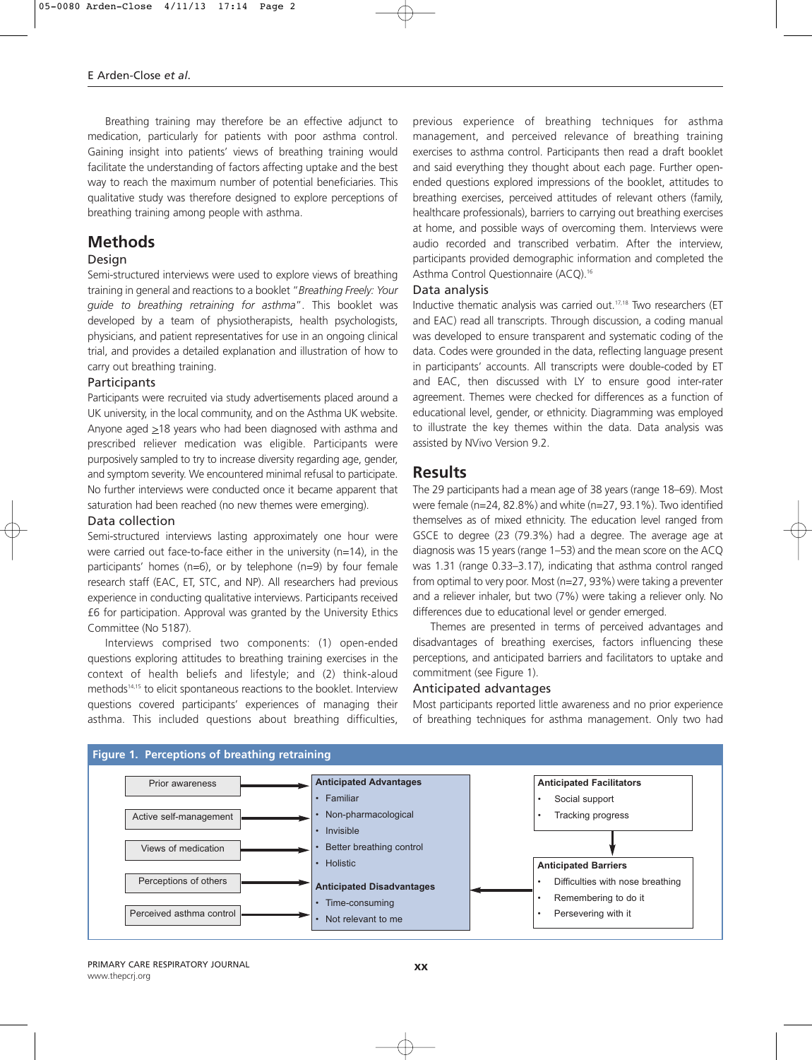Breathing training may therefore be an effective adjunct to medication, particularly for patients with poor asthma control. Gaining insight into patients' views of breathing training would facilitate the understanding of factors affecting uptake and the best way to reach the maximum number of potential beneficiaries. This qualitative study was therefore designed to explore perceptions of breathing training among people with asthma.

# **Methods**

### Design

Semi-structured interviews were used to explore views of breathing training in general and reactions to a booklet "*Breathing Freely: Your guide to breathing retraining for asthma*". This booklet was developed by a team of physiotherapists, health psychologists, physicians, and patient representatives for use in an ongoing clinical trial, and provides a detailed explanation and illustration of how to carry out breathing training.

#### Participants

Participants were recruited via study advertisements placed around a UK university, in the local community, and on the Asthma UK website. Anyone aged  $\geq$ 18 years who had been diagnosed with asthma and prescribed reliever medication was eligible. Participants were purposively sampled to try to increase diversity regarding age, gender, and symptom severity. We encountered minimal refusal to participate. No further interviews were conducted once it became apparent that saturation had been reached (no new themes were emerging).

### Data collection

Semi-structured interviews lasting approximately one hour were were carried out face-to-face either in the university (n=14), in the participants' homes (n=6), or by telephone (n=9) by four female research staff (EAC, ET, STC, and NP). All researchers had previous experience in conducting qualitative interviews. Participants received £6 for participation. Approval was granted by the University Ethics Committee (No 5187).

Interviews comprised two components: (1) open-ended questions exploring attitudes to breathing training exercises in the context of health beliefs and lifestyle; and (2) think-aloud methods14,15 to elicit spontaneous reactions to the booklet. Interview questions covered participants' experiences of managing their asthma. This included questions about breathing difficulties,

previous experience of breathing techniques for asthma management, and perceived relevance of breathing training exercises to asthma control. Participants then read a draft booklet and said everything they thought about each page. Further openended questions explored impressions of the booklet, attitudes to breathing exercises, perceived attitudes of relevant others (family, healthcare professionals), barriers to carrying out breathing exercises at home, and possible ways of overcoming them. Interviews were audio recorded and transcribed verbatim. After the interview, participants provided demographic information and completed the Asthma Control Questionnaire (ACQ).<sup>16</sup>

### Data analysis

Inductive thematic analysis was carried out.17,18 Two researchers (ET and EAC) read all transcripts. Through discussion, a coding manual was developed to ensure transparent and systematic coding of the data. Codes were grounded in the data, reflecting language present in participants' accounts. All transcripts were double-coded by ET and EAC, then discussed with LY to ensure good inter-rater agreement. Themes were checked for differences as a function of educational level, gender, or ethnicity. Diagramming was employed to illustrate the key themes within the data. Data analysis was assisted by NVivo Version 9.2.

## **Results**

The 29 participants had a mean age of 38 years (range 18–69). Most were female (n=24, 82.8%) and white (n=27, 93.1%). Two identified themselves as of mixed ethnicity. The education level ranged from GSCE to degree (23 (79.3%) had a degree. The average age at diagnosis was 15 years (range 1–53) and the mean score on the ACQ was 1.31 (range 0.33–3.17), indicating that asthma control ranged from optimal to very poor. Most (n=27, 93%) were taking a preventer and a reliever inhaler, but two (7%) were taking a reliever only. No differences due to educational level or gender emerged.

Themes are presented in terms of perceived advantages and disadvantages of breathing exercises, factors influencing these perceptions, and anticipated barriers and facilitators to uptake and commitment (see Figure 1).

## Anticipated advantages

Most participants reported little awareness and no prior experience of breathing techniques for asthma management. Only two had

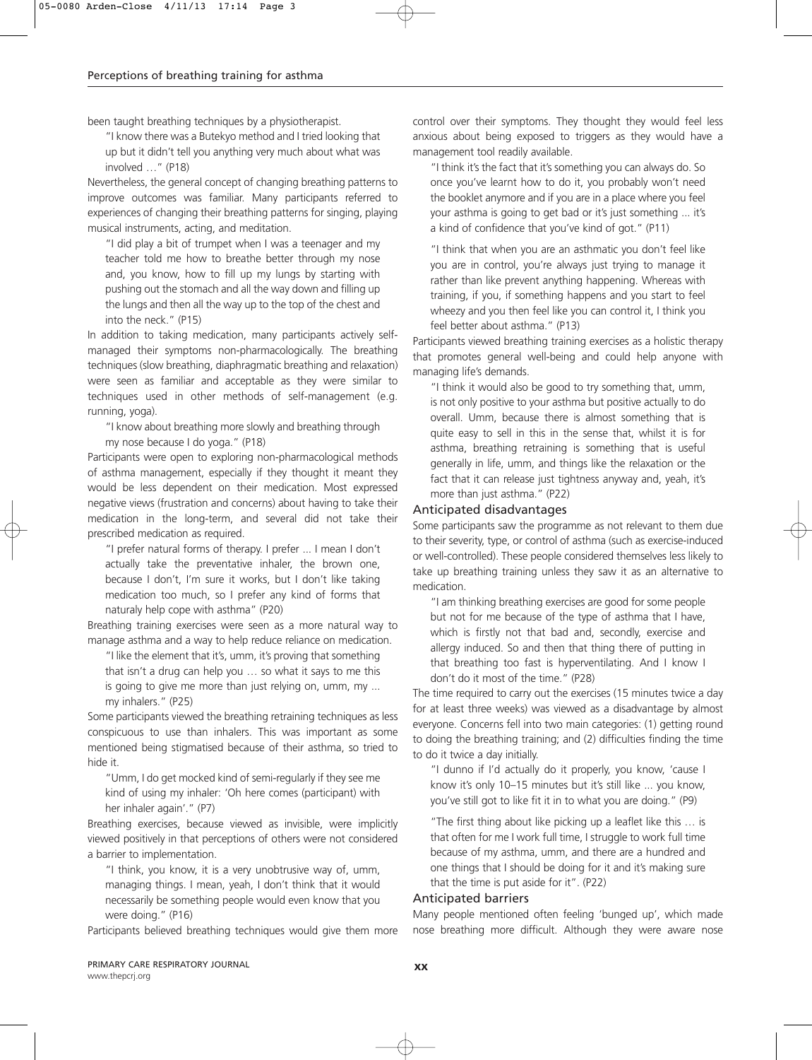been taught breathing techniques by a physiotherapist.

"I know there was a Butekyo method and I tried looking that up but it didn't tell you anything very much about what was involved …" (P18)

Nevertheless, the general concept of changing breathing patterns to improve outcomes was familiar. Many participants referred to experiences of changing their breathing patterns for singing, playing musical instruments, acting, and meditation.

"I did play a bit of trumpet when I was a teenager and my teacher told me how to breathe better through my nose and, you know, how to fill up my lungs by starting with pushing out the stomach and all the way down and filling up the lungs and then all the way up to the top of the chest and into the neck." (P15)

In addition to taking medication, many participants actively selfmanaged their symptoms non-pharmacologically. The breathing techniques (slow breathing, diaphragmatic breathing and relaxation) were seen as familiar and acceptable as they were similar to techniques used in other methods of self-management (e.g. running, yoga).

"I know about breathing more slowly and breathing through my nose because I do yoga." (P18)

Participants were open to exploring non-pharmacological methods of asthma management, especially if they thought it meant they would be less dependent on their medication. Most expressed negative views (frustration and concerns) about having to take their medication in the long-term, and several did not take their prescribed medication as required.

"I prefer natural forms of therapy. I prefer ... I mean I don't actually take the preventative inhaler, the brown one, because I don't, I'm sure it works, but I don't like taking medication too much, so I prefer any kind of forms that naturaly help cope with asthma" (P20)

Breathing training exercises were seen as a more natural way to manage asthma and a way to help reduce reliance on medication.

"I like the element that it's, umm, it's proving that something that isn't a drug can help you … so what it says to me this is going to give me more than just relying on, umm, my ... my inhalers." (P25)

Some participants viewed the breathing retraining techniques as less conspicuous to use than inhalers. This was important as some mentioned being stigmatised because of their asthma, so tried to hide it.

"Umm, I do get mocked kind of semi-regularly if they see me kind of using my inhaler: 'Oh here comes (participant) with her inhaler again'." (P7)

Breathing exercises, because viewed as invisible, were implicitly viewed positively in that perceptions of others were not considered a barrier to implementation.

"I think, you know, it is a very unobtrusive way of, umm, managing things. I mean, yeah, I don't think that it would necessarily be something people would even know that you were doing." (P16)

Participants believed breathing techniques would give them more

control over their symptoms. They thought they would feel less anxious about being exposed to triggers as they would have a management tool readily available.

"I think it's the fact that it's something you can always do. So once you've learnt how to do it, you probably won't need the booklet anymore and if you are in a place where you feel your asthma is going to get bad or it's just something ... it's a kind of confidence that you've kind of got." (P11)

"I think that when you are an asthmatic you don't feel like you are in control, you're always just trying to manage it rather than like prevent anything happening. Whereas with training, if you, if something happens and you start to feel wheezy and you then feel like you can control it, I think you feel better about asthma." (P13)

Participants viewed breathing training exercises as a holistic therapy that promotes general well-being and could help anyone with managing life's demands.

"I think it would also be good to try something that, umm, is not only positive to your asthma but positive actually to do overall. Umm, because there is almost something that is quite easy to sell in this in the sense that, whilst it is for asthma, breathing retraining is something that is useful generally in life, umm, and things like the relaxation or the fact that it can release just tightness anyway and, yeah, it's more than just asthma." (P22)

### Anticipated disadvantages

Some participants saw the programme as not relevant to them due to their severity, type, or control of asthma (such as exercise-induced or well-controlled). These people considered themselves less likely to take up breathing training unless they saw it as an alternative to medication.

"I am thinking breathing exercises are good for some people but not for me because of the type of asthma that I have, which is firstly not that bad and, secondly, exercise and allergy induced. So and then that thing there of putting in that breathing too fast is hyperventilating. And I know I don't do it most of the time." (P28)

The time required to carry out the exercises (15 minutes twice a day for at least three weeks) was viewed as a disadvantage by almost everyone. Concerns fell into two main categories: (1) getting round to doing the breathing training; and (2) difficulties finding the time to do it twice a day initially.

"I dunno if I'd actually do it properly, you know, 'cause I know it's only 10–15 minutes but it's still like ... you know, you've still got to like fit it in to what you are doing." (P9)

"The first thing about like picking up a leaflet like this … is that often for me I work full time, I struggle to work full time because of my asthma, umm, and there are a hundred and one things that I should be doing for it and it's making sure that the time is put aside for it". (P22)

#### Anticipated barriers

Many people mentioned often feeling 'bunged up', which made nose breathing more difficult. Although they were aware nose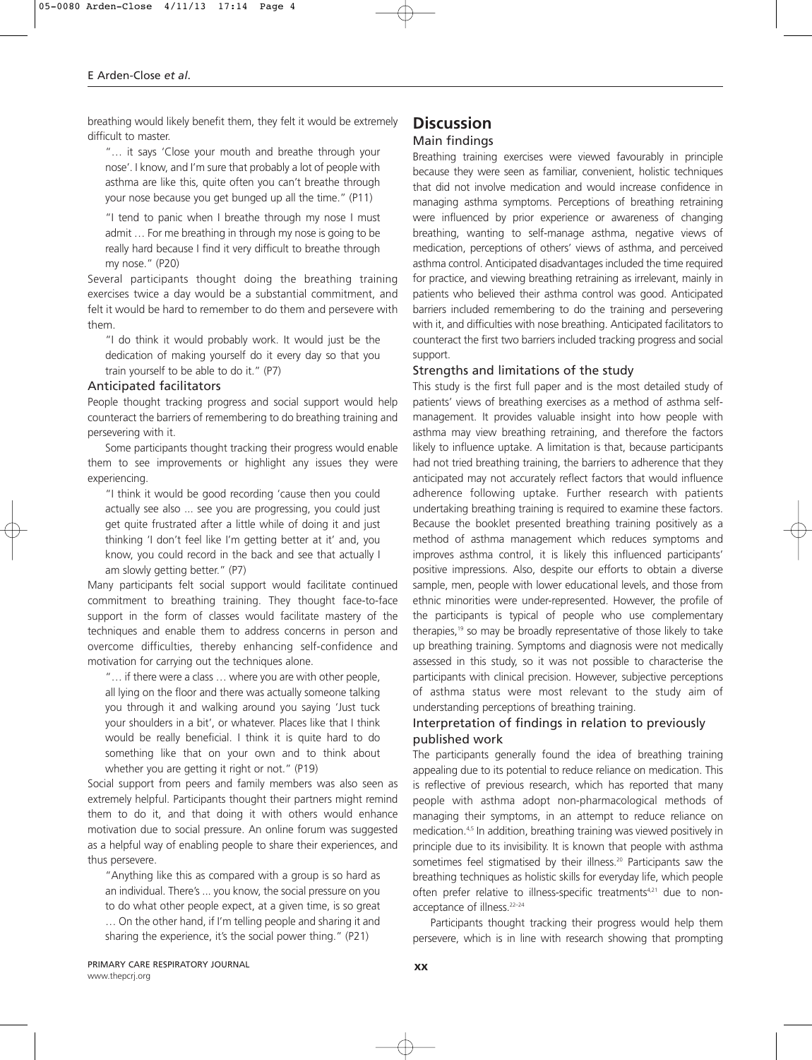breathing would likely benefit them, they felt it would be extremely difficult to master.

"… it says 'Close your mouth and breathe through your nose'. I know, and I'm sure that probably a lot of people with asthma are like this, quite often you can't breathe through your nose because you get bunged up all the time." (P11)

"I tend to panic when I breathe through my nose I must admit … For me breathing in through my nose is going to be really hard because I find it very difficult to breathe through my nose." (P20)

Several participants thought doing the breathing training exercises twice a day would be a substantial commitment, and felt it would be hard to remember to do them and persevere with them.

"I do think it would probably work. It would just be the dedication of making yourself do it every day so that you train yourself to be able to do it." (P7)

#### Anticipated facilitators

People thought tracking progress and social support would help counteract the barriers of remembering to do breathing training and persevering with it.

Some participants thought tracking their progress would enable them to see improvements or highlight any issues they were experiencing.

"I think it would be good recording 'cause then you could actually see also ... see you are progressing, you could just get quite frustrated after a little while of doing it and just thinking 'I don't feel like I'm getting better at it' and, you know, you could record in the back and see that actually I am slowly getting better." (P7)

Many participants felt social support would facilitate continued commitment to breathing training. They thought face-to-face support in the form of classes would facilitate mastery of the techniques and enable them to address concerns in person and overcome difficulties, thereby enhancing self-confidence and motivation for carrying out the techniques alone.

"… if there were a class … where you are with other people, all lying on the floor and there was actually someone talking you through it and walking around you saying 'Just tuck your shoulders in a bit', or whatever. Places like that I think would be really beneficial. I think it is quite hard to do something like that on your own and to think about whether you are getting it right or not." (P19)

Social support from peers and family members was also seen as extremely helpful. Participants thought their partners might remind them to do it, and that doing it with others would enhance motivation due to social pressure. An online forum was suggested as a helpful way of enabling people to share their experiences, and thus persevere.

"Anything like this as compared with a group is so hard as an individual. There's ... you know, the social pressure on you to do what other people expect, at a given time, is so great … On the other hand, if I'm telling people and sharing it and sharing the experience, it's the social power thing." (P21)

# **Discussion**

Main findings

Breathing training exercises were viewed favourably in principle because they were seen as familiar, convenient, holistic techniques that did not involve medication and would increase confidence in managing asthma symptoms. Perceptions of breathing retraining were influenced by prior experience or awareness of changing breathing, wanting to self-manage asthma, negative views of medication, perceptions of others' views of asthma, and perceived asthma control. Anticipated disadvantages included the time required for practice, and viewing breathing retraining as irrelevant, mainly in patients who believed their asthma control was good. Anticipated barriers included remembering to do the training and persevering with it, and difficulties with nose breathing. Anticipated facilitators to counteract the first two barriers included tracking progress and social support.

## Strengths and limitations of the study

This study is the first full paper and is the most detailed study of patients' views of breathing exercises as a method of asthma selfmanagement. It provides valuable insight into how people with asthma may view breathing retraining, and therefore the factors likely to influence uptake. A limitation is that, because participants had not tried breathing training, the barriers to adherence that they anticipated may not accurately reflect factors that would influence adherence following uptake. Further research with patients undertaking breathing training is required to examine these factors. Because the booklet presented breathing training positively as a method of asthma management which reduces symptoms and improves asthma control, it is likely this influenced participants' positive impressions. Also, despite our efforts to obtain a diverse sample, men, people with lower educational levels, and those from ethnic minorities were under-represented. However, the profile of the participants is typical of people who use complementary therapies,<sup>19</sup> so may be broadly representative of those likely to take up breathing training. Symptoms and diagnosis were not medically assessed in this study, so it was not possible to characterise the participants with clinical precision. However, subjective perceptions of asthma status were most relevant to the study aim of understanding perceptions of breathing training.

# Interpretation of findings in relation to previously published work

The participants generally found the idea of breathing training appealing due to its potential to reduce reliance on medication. This is reflective of previous research, which has reported that many people with asthma adopt non-pharmacological methods of managing their symptoms, in an attempt to reduce reliance on medication.4,5 In addition, breathing training was viewed positively in principle due to its invisibility. It is known that people with asthma sometimes feel stigmatised by their illness.<sup>20</sup> Participants saw the breathing techniques as holistic skills for everyday life, which people often prefer relative to illness-specific treatments<sup>4,21</sup> due to nonacceptance of illness.<sup>22-24</sup>

Participants thought tracking their progress would help them persevere, which is in line with research showing that prompting